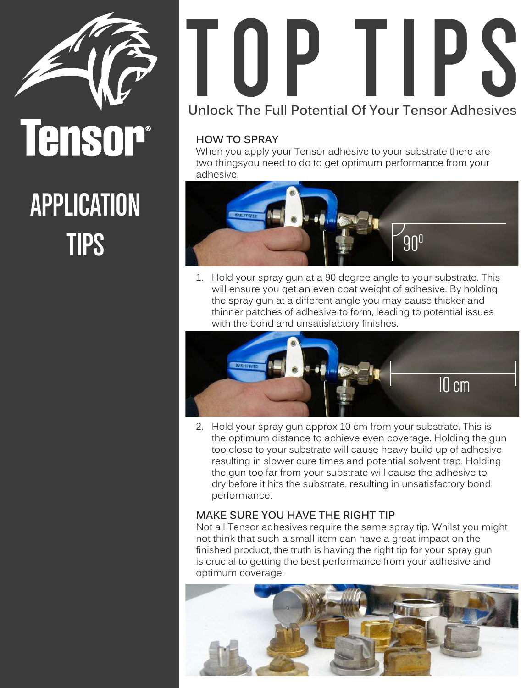

#### **APPLICATION TIPS**

## **TOP TIPS Unlock The Full Potential Of Your Tensor Adhesives**

#### **HOW TO SPRAY**

When you apply your Tensor adhesive to your substrate there are two thingsyou need to do to get optimum performance from your adhesive.



1. Hold your spray gun at a 90 degree angle to your substrate. This will ensure you get an even coat weight of adhesive. By holding the spray gun at a different angle you may cause thicker and thinner patches of adhesive to form, leading to potential issues with the bond and unsatisfactory finishes.



2. Hold your spray gun approx 10 cm from your substrate. This is the optimum distance to achieve even coverage. Holding the gun too close to your substrate will cause heavy build up of adhesive resulting in slower cure times and potential solvent trap. Holding the gun too far from your substrate will cause the adhesive to dry before it hits the substrate, resulting in unsatisfactory bond performance.

#### **MAKE SURE YOU HAVE THE RIGHT TIP**

Not all Tensor adhesives require the same spray tip. Whilst you might not think that such a small item can have a great impact on the finished product, the truth is having the right tip for your spray gun is crucial to getting the best performance from your adhesive and optimum coverage.

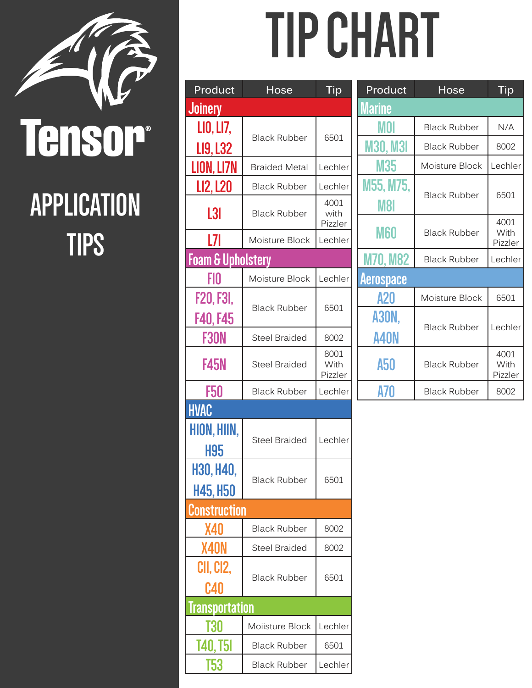

### **APPLICATION TIPS**

# **TIP CHART**

| Product                      | Hose                 | Tip                     |  |
|------------------------------|----------------------|-------------------------|--|
| <b>Joinery</b>               |                      |                         |  |
| LIO, LI7,<br>LI9, L32        | <b>Black Rubber</b>  | 6501                    |  |
| LION, LI7N                   | <b>Braided Metal</b> | Lechler                 |  |
| LI2, L20                     | <b>Black Rubber</b>  | Lechler                 |  |
| L3I                          | <b>Black Rubber</b>  | 4001<br>with<br>Pizzler |  |
| L7I                          | Moisture Block       | Lechler                 |  |
| <b>Foam &amp; Upholstery</b> |                      |                         |  |
| FIO                          | Moisture Block       | Lechler                 |  |
| F20, F3I,<br><b>F40, F45</b> | <b>Black Rubber</b>  | 6501                    |  |
| F30N                         | <b>Steel Braided</b> | 8002                    |  |
| <b>F45N</b>                  | <b>Steel Braided</b> | 8001<br>With<br>Pizzler |  |
| F50                          | <b>Black Rubber</b>  | Lechler                 |  |
| <b>HVAC</b>                  |                      |                         |  |
| HION, HIIN,<br>H95           | <b>Steel Braided</b> | Lechler                 |  |
| H30, H40,<br>H45, H50        | <b>Black Rubber</b>  | 6501                    |  |
| Construction                 |                      |                         |  |
| X40                          | <b>Black Rubber</b>  | 8002                    |  |
| X40N                         | <b>Steel Braided</b> | 8002                    |  |
| CII, CI2,<br>C40             | <b>Black Rubber</b>  | 6501                    |  |
| <u> Iransportation</u>       |                      |                         |  |
| T30                          | Moiisture Block      | Lechler                 |  |
| <u>140, T51</u>              | <b>Black Rubber</b>  | 6501                    |  |
| T53                          | <b>Black Rubber</b>  | Lechler                 |  |

| Product                 | Hose                | Tip                     |  |
|-------------------------|---------------------|-------------------------|--|
| Marine                  |                     |                         |  |
| MOI                     | <b>Black Rubber</b> | N/A                     |  |
| <b>M30, M3I</b>         | <b>Black Rubber</b> | 8002                    |  |
| M35                     | Moisture Block      | Lechler                 |  |
| M55, M75,<br><b>M8I</b> | <b>Black Rubber</b> | 6501                    |  |
| M60                     | <b>Black Rubber</b> | 4001<br>With<br>Pizzler |  |
| <b>M70, M82</b>         | <b>Black Rubber</b> | Lechler                 |  |
| <b>Aerospace</b>        |                     |                         |  |
| A20                     | Moisture Block      | 6501                    |  |
| A3ON,<br>A40N           | <b>Black Rubber</b> | Lechler                 |  |
| A50                     | <b>Black Rubber</b> | 4001<br>With<br>Pizzler |  |
| A70                     | <b>Black Rubber</b> | 8002                    |  |